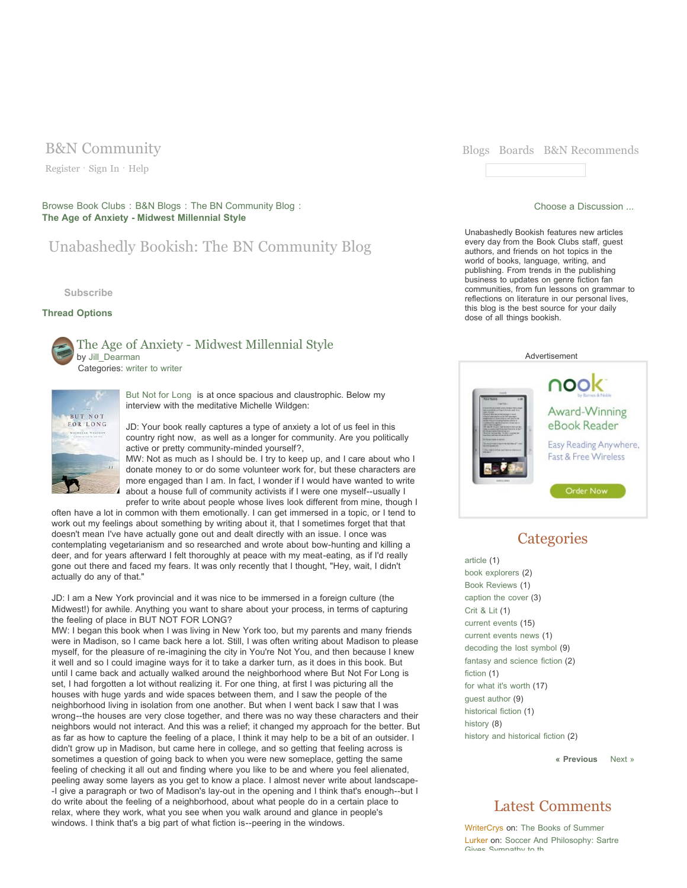Register · Sign In · Help

Browse Book Clubs : B&N Blogs : The BN Community Blog : **The Age of Anxiety - Midwest Millennial Style**

# Unabashedly Bookish: The BN Community Blog

**Subscribe**

### **Thread Options**



The Age of Anxiety - Midwest Millennial Style by Jill\_Dearman Categories: writer to writer



But Not for Long is at once spacious and claustrophic. Below my interview with the meditative Michelle Wildgen:

JD: Your book really captures a type of anxiety a lot of us feel in this country right now, as well as a longer for community. Are you politically active or pretty community-minded yourself?,

MW: Not as much as I should be. I try to keep up, and I care about who I donate money to or do some volunteer work for, but these characters are more engaged than I am. In fact, I wonder if I would have wanted to write about a house full of community activists if I were one myself--usually I prefer to write about people whose lives look different from mine, though I

often have a lot in common with them emotionally. I can get immersed in a topic, or I tend to work out my feelings about something by writing about it, that I sometimes forget that that doesn't mean I've have actually gone out and dealt directly with an issue. I once was contemplating vegetarianism and so researched and wrote about bow-hunting and killing a deer, and for years afterward I felt thoroughly at peace with my meat-eating, as if I'd really gone out there and faced my fears. It was only recently that I thought, "Hey, wait, I didn't actually do any of that."

JD: I am a New York provincial and it was nice to be immersed in a foreign culture (the Midwest!) for awhile. Anything you want to share about your process, in terms of capturing the feeling of place in BUT NOT FOR LONG?

MW: I began this book when I was living in New York too, but my parents and many friends were in Madison, so I came back here a lot. Still, I was often writing about Madison to please myself, for the pleasure of re-imagining the city in You're Not You, and then because I knew it well and so I could imagine ways for it to take a darker turn, as it does in this book. But until I came back and actually walked around the neighborhood where But Not For Long is set, I had forgotten a lot without realizing it. For one thing, at first I was picturing all the houses with huge yards and wide spaces between them, and I saw the people of the neighborhood living in isolation from one another. But when I went back I saw that I was wrong--the houses are very close together, and there was no way these characters and their neighbors would not interact. And this was a relief; it changed my approach for the better. But as far as how to capture the feeling of a place, I think it may help to be a bit of an outsider. I didn't grow up in Madison, but came here in college, and so getting that feeling across is sometimes a question of going back to when you were new someplace, getting the same feeling of checking it all out and finding where you like to be and where you feel alienated, peeling away some layers as you get to know a place. I almost never write about landscape- -I give a paragraph or two of Madison's lay-out in the opening and I think that's enough--but I do write about the feeling of a neighborhood, about what people do in a certain place to relax, where they work, what you see when you walk around and glance in people's windows. I think that's a big part of what fiction is--peering in the windows.



#### Choose a Discussion ...

Unabashedly Bookish features new articles every day from the Book Clubs staff, guest authors, and friends on hot topics in the world of books, language, writing, and publishing. From trends in the publishing business to updates on genre fiction fan communities, from fun lessons on grammar to reflections on literature in our personal lives, this blog is the best source for your daily dose of all things bookish.



# **Categories**

article (1) book explorers (2) Book Reviews (1) caption the cover (3) Crit & Lit (1) current events (15) current events news (1) decoding the lost symbol (9) fantasy and science fiction (2) fiction (1) for what it's worth (17) guest author (9) historical fiction (1) history (8) history and historical fiction (2)

**« Previous** Next »

## Latest Comments

WriterCrys on: The Books of Summer Lurker on: Soccer And Philosophy: Sartre Gives Sympathy to th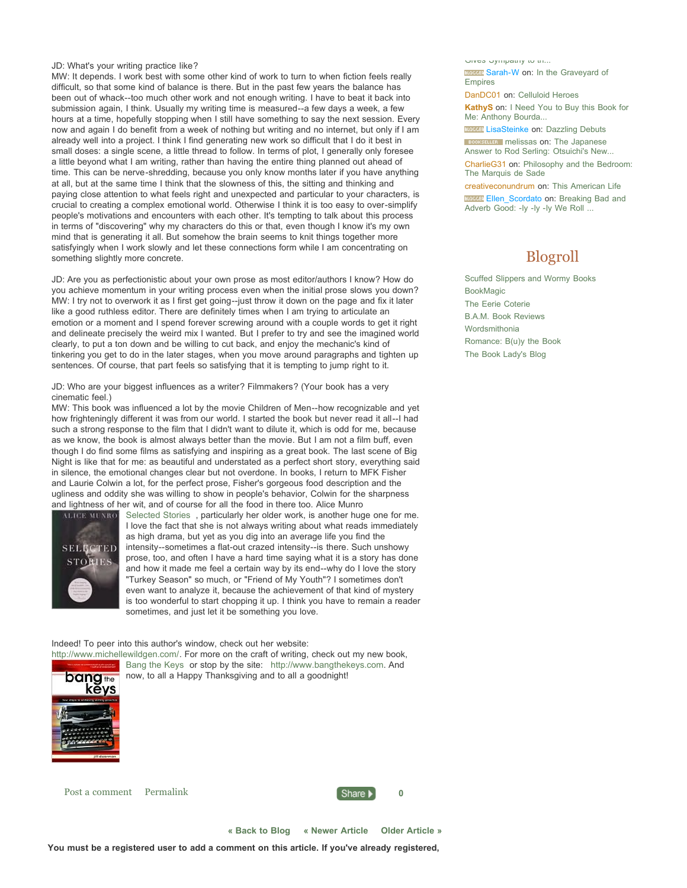#### JD: What's your writing practice like?

MW: It depends. I work best with some other kind of work to turn to when fiction feels really difficult, so that some kind of balance is there. But in the past few years the balance has been out of whack--too much other work and not enough writing. I have to beat it back into submission again, I think. Usually my writing time is measured--a few days a week, a few hours at a time, hopefully stopping when I still have something to say the next session. Every now and again I do benefit from a week of nothing but writing and no internet, but only if I am already well into a project. I think I find generating new work so difficult that I do it best in small doses: a single scene, a little thread to follow. In terms of plot, I generally only foresee a little beyond what I am writing, rather than having the entire thing planned out ahead of time. This can be nerve-shredding, because you only know months later if you have anything at all, but at the same time I think that the slowness of this, the sitting and thinking and paying close attention to what feels right and unexpected and particular to your characters, is crucial to creating a complex emotional world. Otherwise I think it is too easy to over-simplify people's motivations and encounters with each other. It's tempting to talk about this process in terms of "discovering" why my characters do this or that, even though I know it's my own mind that is generating it all. But somehow the brain seems to knit things together more satisfyingly when I work slowly and let these connections form while I am concentrating on something slightly more concrete.

JD: Are you as perfectionistic about your own prose as most editor/authors I know? How do you achieve momentum in your writing process even when the initial prose slows you down? MW: I try not to overwork it as I first get going--just throw it down on the page and fix it later like a good ruthless editor. There are definitely times when I am trying to articulate an emotion or a moment and I spend forever screwing around with a couple words to get it right and delineate precisely the weird mix I wanted. But I prefer to try and see the imagined world clearly, to put a ton down and be willing to cut back, and enjoy the mechanic's kind of tinkering you get to do in the later stages, when you move around paragraphs and tighten up sentences. Of course, that part feels so satisfying that it is tempting to jump right to it.

JD: Who are your biggest influences as a writer? Filmmakers? (Your book has a very cinematic feel.)

MW: This book was influenced a lot by the movie Children of Men--how recognizable and yet how frighteningly different it was from our world. I started the book but never read it all--I had such a strong response to the film that I didn't want to dilute it, which is odd for me, because as we know, the book is almost always better than the movie. But I am not a film buff, even though I do find some films as satisfying and inspiring as a great book. The last scene of Big Night is like that for me: as beautiful and understated as a perfect short story, everything said in silence, the emotional changes clear but not overdone. In books, I return to MFK Fisher and Laurie Colwin a lot, for the perfect prose, Fisher's gorgeous food description and the ugliness and oddity she was willing to show in people's behavior, Colwin for the sharpness and lightness of her wit, and of course for all the food in there too. Alice Munro



Selected Stories , particularly her older work, is another huge one for me. I love the fact that she is not always writing about what reads immediately as high drama, but yet as you dig into an average life you find the intensity--sometimes a flat-out crazed intensity--is there. Such unshowy prose, too, and often I have a hard time saying what it is a story has done and how it made me feel a certain way by its end--why do I love the story "Turkey Season" so much, or "Friend of My Youth"? I sometimes don't even want to analyze it, because the achievement of that kind of mystery is too wonderful to start chopping it up. I think you have to remain a reader sometimes, and just let it be something you love.

Indeed! To peer into this author's window, check out her website:



http://www.michellewildgen.com/. For more on the craft of writing, check out my new book, Bang the Keys or stop by the site: http://www.bangthekeys.com. And now, to all a Happy Thanksgiving and to all a goodnight!

Post a comment Permalink **0**



**« Back to Blog « Newer Article Older Article »**

Gives Sympathy to the BLOGGEE: Sarah-W on: In the Graveyard of

Empires DanDC01 on: Celluloid Heroes

**KathyS** on: I Need You to Buy this Book for Me: Anthony Bourda...

**BLOCCER** LisaSteinke on: Dazzling Debuts **BOOKSELLER** melissas on: The Japanese

Answer to Rod Serling: Otsuichi's New...

CharlieG31 on: Philosophy and the Bedroom: The Marquis de Sade

creativeconundrum on: This American Life BLOGER Ellen\_Scordato on: Breaking Bad and Adverb Good: -ly -ly -ly We Roll ...

## Blogroll

Scuffed Slippers and Wormy Books BookMagic The Eerie Coterie B.A.M. Book Reviews Wordsmithonia Romance: B(u)y the Book The Book Lady's Blog